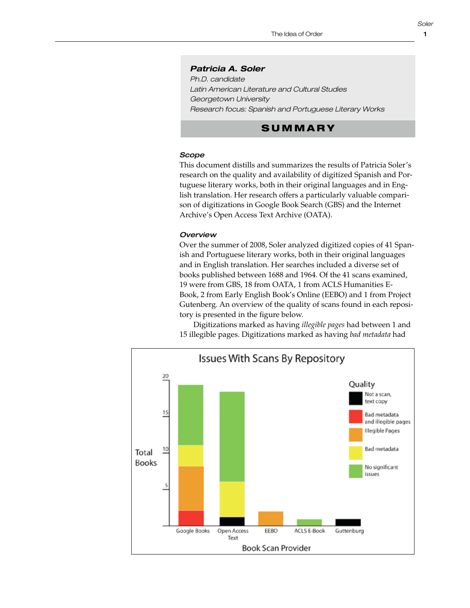1

### *Patricia A. Soler*

*Ph.D. candidate Latin American Literature and Cultural Studies Georgetown University Research focus: Spanish and Portuguese Literary Works*

# **SUMMARY**

## *Scope*

This document distills and summarizes the results of Patricia Soler's This document distins and summarizes the results of Fathela soler is<br>research on the quality and availability of digitized Spanish and Por**tescarent on the quality and availability of dightzed sparitsh and 1 of**<br>tuguese literary works, both in their original languages and in English translation. Her research offers a particularly valuable comparison of digitizations in Google Book Search (GBS) and the Internet **Scope:** Archive's Open Access Text Archive (OATA).  $\gamma$  works, both in their ong

# **Overview and in English translation**. Her research of the search of the search of the search of the search of the search of the search of the search of the search of the search of the search of the search of the search

Over the summer of 2008, Soler analyzed digitized copies of 41 Spanish and Portuguese literary works, both in their original languages and in English translation. Her searches included a diverse set of books published between 1688 and 1964. Of the 41 scans examined, 19 were from GBS, 18 from OATA, 1 from ACLS Humanities E-Book, 2 from Early English Book's Online (EEBO) and 1 from Project Gutenberg. An overview of the quality of scans found in each repository is presented in the figure below. scans of the Internet of the Internet Archive's Open Access Text Archive's Open Access Text Archive's Open Access Text Archives, 18 from Access Text Archives, 1996

tory is presented in the righte below.<br>Digitizations marked as having *illegible pages* had between 1 and 15 illegible pages. Digitizations marked as having bad metadata had Progrizations indived as naving *ineguive pages* nad between T and